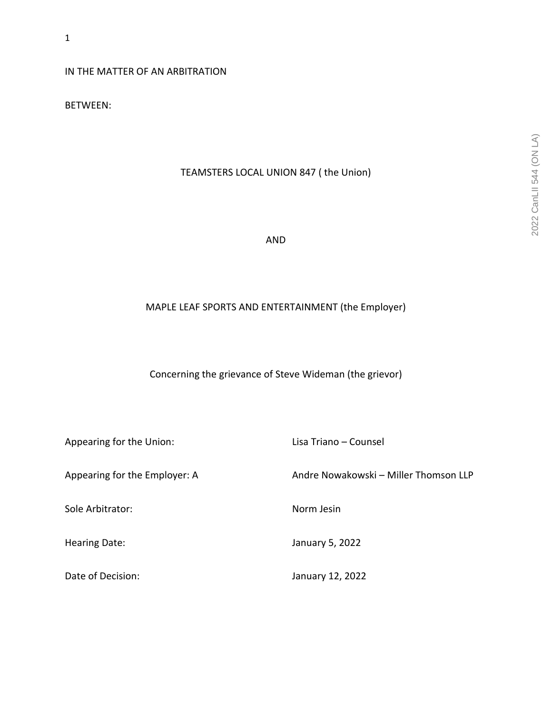IN THE MATTER OF AN ARBITRATION

BETWEEN:

# TEAMSTERS LOCAL UNION 847 ( the Union)

AND

# MAPLE LEAF SPORTS AND ENTERTAINMENT (the Employer)

Concerning the grievance of Steve Wideman (the grievor)

| Appearing for the Union:      | Lisa Triano – Counsel                 |
|-------------------------------|---------------------------------------|
| Appearing for the Employer: A | Andre Nowakowski - Miller Thomson LLP |
| Sole Arbitrator:              | Norm Jesin                            |
| Hearing Date:                 | January 5, 2022                       |
| Date of Decision:             | January 12, 2022                      |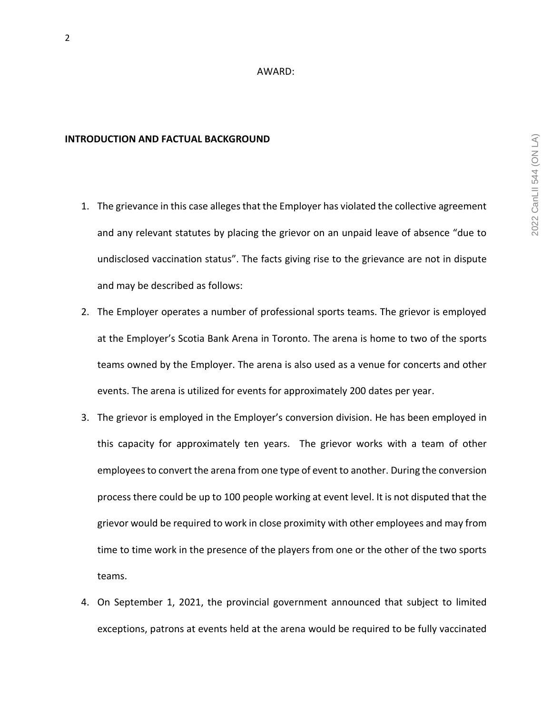#### AWARD:

#### **INTRODUCTION AND FACTUAL BACKGROUND**

- 1. The grievance in this case alleges that the Employer has violated the collective agreement and any relevant statutes by placing the grievor on an unpaid leave of absence "due to undisclosed vaccination status". The facts giving rise to the grievance are not in dispute and may be described as follows:
- 2. The Employer operates a number of professional sports teams. The grievor is employed at the Employer's Scotia Bank Arena in Toronto. The arena is home to two of the sports teams owned by the Employer. The arena is also used as a venue for concerts and other events. The arena is utilized for events for approximately 200 dates per year.
- 3. The grievor is employed in the Employer's conversion division. He has been employed in this capacity for approximately ten years. The grievor works with a team of other employees to convert the arena from one type of event to another. During the conversion process there could be up to 100 people working at event level. It is not disputed that the grievor would be required to work in close proximity with other employees and may from time to time work in the presence of the players from one or the other of the two sports teams.
- 4. On September 1, 2021, the provincial government announced that subject to limited exceptions, patrons at events held at the arena would be required to be fully vaccinated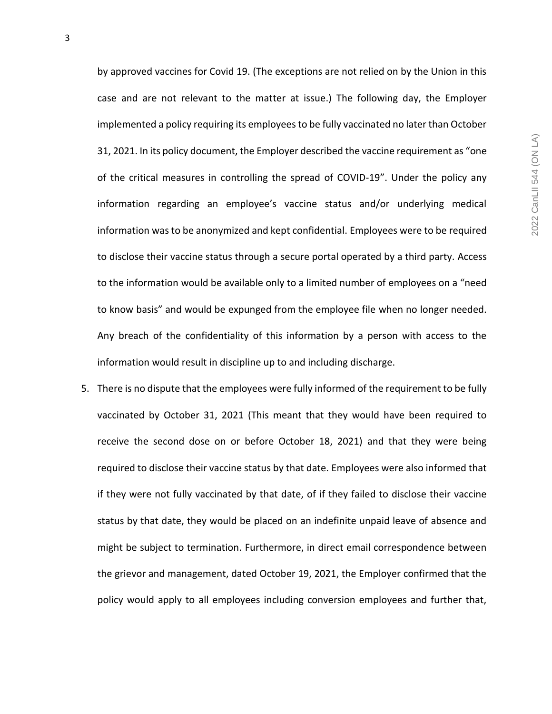by approved vaccines for Covid 19. (The exceptions are not relied on by the Union in this case and are not relevant to the matter at issue.) The following day, the Employer implemented a policy requiring its employees to be fully vaccinated no later than October 31, 2021. In its policy document, the Employer described the vaccine requirement as "one of the critical measures in controlling the spread of COVID-19". Under the policy any information regarding an employee's vaccine status and/or underlying medical information was to be anonymized and kept confidential. Employees were to be required to disclose their vaccine status through a secure portal operated by a third party. Access to the information would be available only to a limited number of employees on a "need to know basis" and would be expunged from the employee file when no longer needed. Any breach of the confidentiality of this information by a person with access to the information would result in discipline up to and including discharge.

5. There is no dispute that the employees were fully informed of the requirement to be fully vaccinated by October 31, 2021 (This meant that they would have been required to receive the second dose on or before October 18, 2021) and that they were being required to disclose their vaccine status by that date. Employees were also informed that if they were not fully vaccinated by that date, of if they failed to disclose their vaccine status by that date, they would be placed on an indefinite unpaid leave of absence and might be subject to termination. Furthermore, in direct email correspondence between the grievor and management, dated October 19, 2021, the Employer confirmed that the policy would apply to all employees including conversion employees and further that,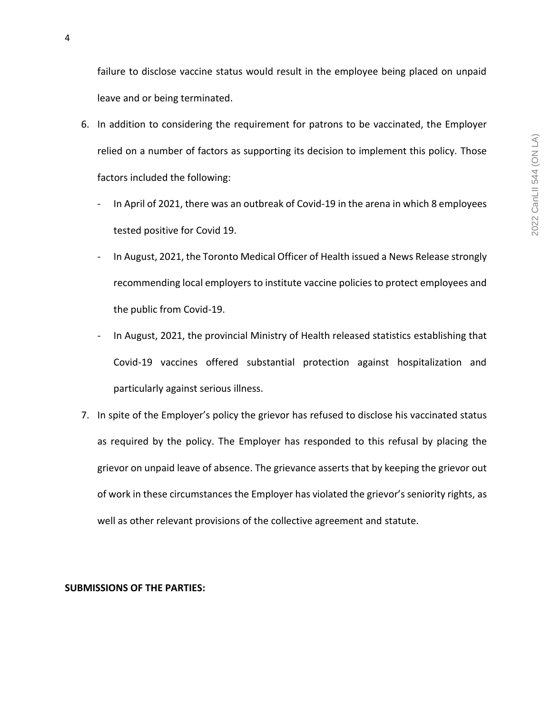failure to disclose vaccine status would result in the employee being placed on unpaid leave and or being terminated.

- 6. In addition to considering the requirement for patrons to be vaccinated, the Employer relied on a number of factors as supporting its decision to implement this policy. Those factors included the following:
	- In April of 2021, there was an outbreak of Covid-19 in the arena in which 8 employees tested positive for Covid 19.
	- In August, 2021, the Toronto Medical Officer of Health issued a News Release strongly recommending local employers to institute vaccine policies to protect employees and the public from Covid-19.
	- In August, 2021, the provincial Ministry of Health released statistics establishing that Covid-19 vaccines offered substantial protection against hospitalization and particularly against serious illness.
- 7. In spite of the Employer's policy the grievor has refused to disclose his vaccinated status as required by the policy. The Employer has responded to this refusal by placing the grievor on unpaid leave of absence. The grievance asserts that by keeping the grievor out of work in these circumstances the Employer has violated the grievor's seniority rights, as well as other relevant provisions of the collective agreement and statute.

## **SUBMISSIONS OF THE PARTIES:**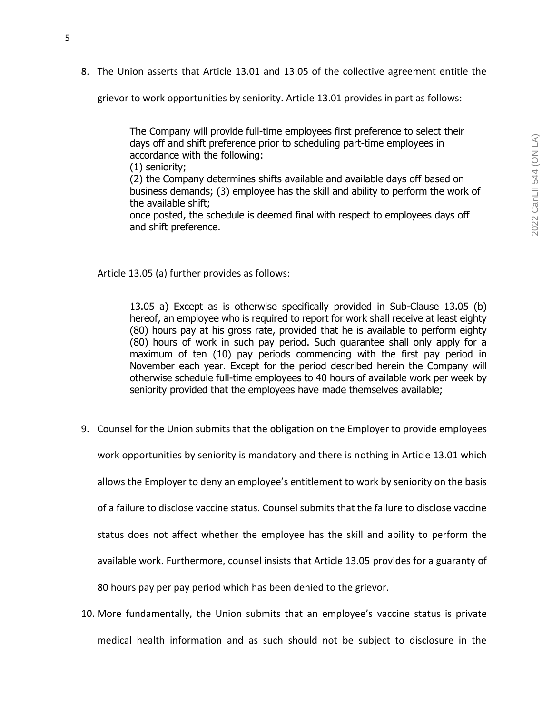8. The Union asserts that Article 13.01 and 13.05 of the collective agreement entitle the

grievor to work opportunities by seniority. Article 13.01 provides in part as follows:

The Company will provide full-time employees first preference to select their days off and shift preference prior to scheduling part-time employees in accordance with the following:

(1) seniority;

(2) the Company determines shifts available and available days off based on business demands; (3) employee has the skill and ability to perform the work of the available shift;

once posted, the schedule is deemed final with respect to employees days off and shift preference.

Article 13.05 (a) further provides as follows:

13.05 a) Except as is otherwise specifically provided in Sub-Clause 13.05 (b) hereof, an employee who is required to report for work shall receive at least eighty (80) hours pay at his gross rate, provided that he is available to perform eighty (80) hours of work in such pay period. Such guarantee shall only apply for a maximum of ten (10) pay periods commencing with the first pay period in November each year. Except for the period described herein the Company will otherwise schedule full-time employees to 40 hours of available work per week by seniority provided that the employees have made themselves available;

9. Counsel for the Union submits that the obligation on the Employer to provide employees

work opportunities by seniority is mandatory and there is nothing in Article 13.01 which

allows the Employer to deny an employee's entitlement to work by seniority on the basis

of a failure to disclose vaccine status. Counsel submits that the failure to disclose vaccine

status does not affect whether the employee has the skill and ability to perform the

available work. Furthermore, counsel insists that Article 13.05 provides for a guaranty of

80 hours pay per pay period which has been denied to the grievor.

10. More fundamentally, the Union submits that an employee's vaccine status is private medical health information and as such should not be subject to disclosure in the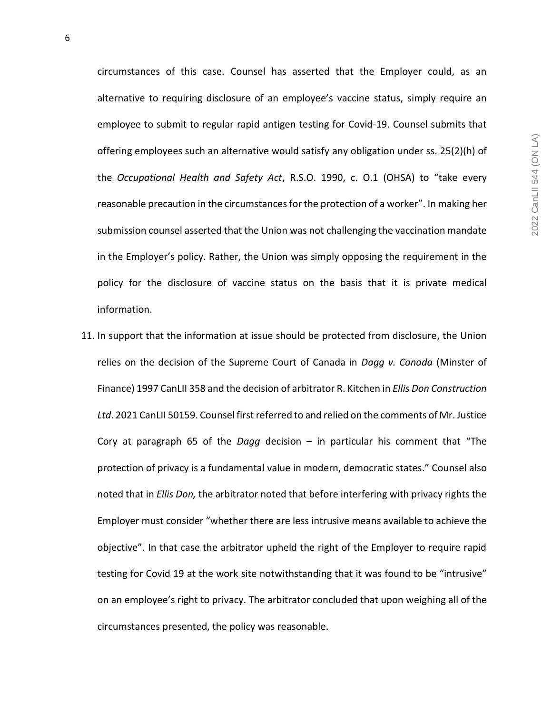circumstances of this case. Counsel has asserted that the Employer could, as an alternative to requiring disclosure of an employee's vaccine status, simply require an employee to submit to regular rapid antigen testing for Covid-19. Counsel submits that offering employees such an alternative would satisfy any obligation under ss. 25(2)(h) of the *Occupational Health and Safety Act*, R.S.O. 1990, c. O.1 (OHSA) to "take every reasonable precaution in the circumstances for the protection of a worker". In making her submission counsel asserted that the Union was not challenging the vaccination mandate in the Employer's policy. Rather, the Union was simply opposing the requirement in the policy for the disclosure of vaccine status on the basis that it is private medical information.

11. In support that the information at issue should be protected from disclosure, the Union relies on the decision of the Supreme Court of Canada in *Dagg v. Canada* (Minster of Finance) 1997 CanLII 358 and the decision of arbitrator R. Kitchen in *Ellis Don Construction Ltd*. 2021 CanLII 50159. Counsel first referred to and relied on the comments of Mr. Justice Cory at paragraph 65 of the *Dagg* decision – in particular his comment that "The protection of privacy is a fundamental value in modern, democratic states." Counsel also noted that in *Ellis Don,* the arbitrator noted that before interfering with privacy rights the Employer must consider "whether there are less intrusive means available to achieve the objective". In that case the arbitrator upheld the right of the Employer to require rapid testing for Covid 19 at the work site notwithstanding that it was found to be "intrusive" on an employee's right to privacy. The arbitrator concluded that upon weighing all of the circumstances presented, the policy was reasonable.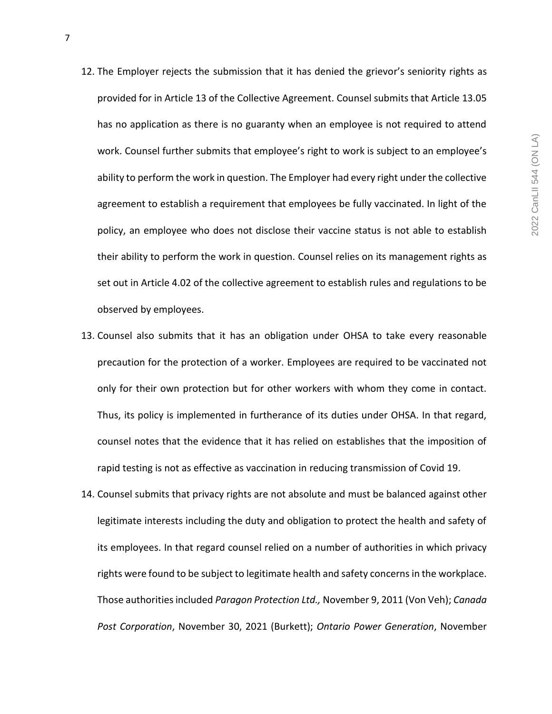- 12. The Employer rejects the submission that it has denied the grievor's seniority rights as provided for in Article 13 of the Collective Agreement. Counsel submits that Article 13.05 has no application as there is no guaranty when an employee is not required to attend work. Counsel further submits that employee's right to work is subject to an employee's ability to perform the work in question. The Employer had every right under the collective agreement to establish a requirement that employees be fully vaccinated. In light of the policy, an employee who does not disclose their vaccine status is not able to establish their ability to perform the work in question. Counsel relies on its management rights as set out in Article 4.02 of the collective agreement to establish rules and regulations to be observed by employees.
- 13. Counsel also submits that it has an obligation under OHSA to take every reasonable precaution for the protection of a worker. Employees are required to be vaccinated not only for their own protection but for other workers with whom they come in contact. Thus, its policy is implemented in furtherance of its duties under OHSA. In that regard, counsel notes that the evidence that it has relied on establishes that the imposition of rapid testing is not as effective as vaccination in reducing transmission of Covid 19.
- 14. Counsel submits that privacy rights are not absolute and must be balanced against other legitimate interests including the duty and obligation to protect the health and safety of its employees. In that regard counsel relied on a number of authorities in which privacy rights were found to be subject to legitimate health and safety concerns in the workplace. Those authorities included *Paragon Protection Ltd.,* November 9, 2011 (Von Veh); *Canada Post Corporation*, November 30, 2021 (Burkett); *Ontario Power Generation*, November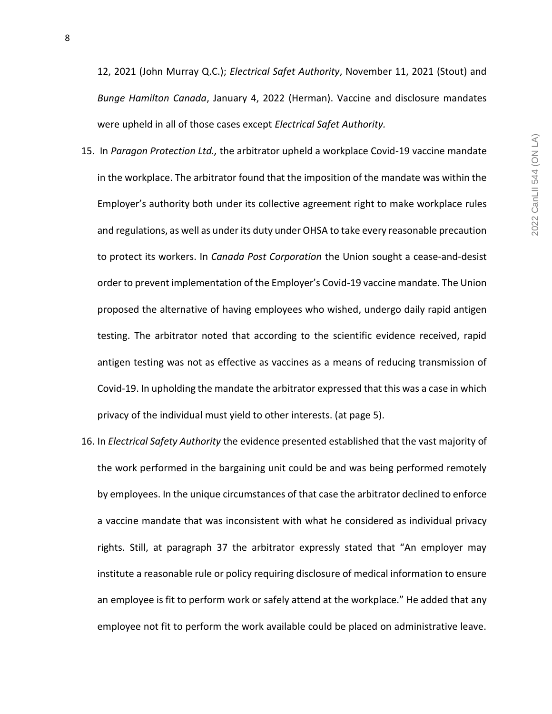12, 2021 (John Murray Q.C.); *Electrical Safet Authority*, November 11, 2021 (Stout) and *Bunge Hamilton Canada*, January 4, 2022 (Herman). Vaccine and disclosure mandates were upheld in all of those cases except *Electrical Safet Authority.*

- 15. In *Paragon Protection Ltd.,* the arbitrator upheld a workplace Covid-19 vaccine mandate in the workplace. The arbitrator found that the imposition of the mandate was within the Employer's authority both under its collective agreement right to make workplace rules and regulations, as well as under its duty under OHSA to take every reasonable precaution to protect its workers. In *Canada Post Corporation* the Union sought a cease-and-desist order to prevent implementation of the Employer's Covid-19 vaccine mandate. The Union proposed the alternative of having employees who wished, undergo daily rapid antigen testing. The arbitrator noted that according to the scientific evidence received, rapid antigen testing was not as effective as vaccines as a means of reducing transmission of Covid-19. In upholding the mandate the arbitrator expressed that this was a case in which privacy of the individual must yield to other interests. (at page 5).
- 16. In *Electrical Safety Authority* the evidence presented established that the vast majority of the work performed in the bargaining unit could be and was being performed remotely by employees. In the unique circumstances of that case the arbitrator declined to enforce a vaccine mandate that was inconsistent with what he considered as individual privacy rights. Still, at paragraph 37 the arbitrator expressly stated that "An employer may institute a reasonable rule or policy requiring disclosure of medical information to ensure an employee is fit to perform work or safely attend at the workplace." He added that any employee not fit to perform the work available could be placed on administrative leave.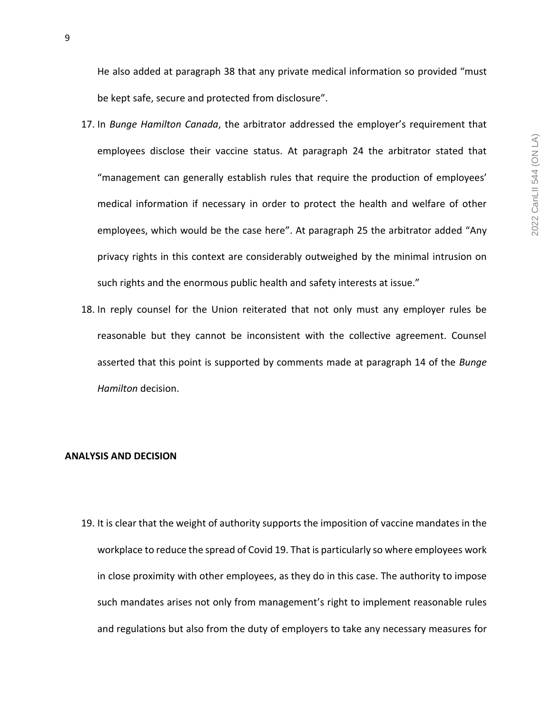He also added at paragraph 38 that any private medical information so provided "must be kept safe, secure and protected from disclosure".

- 17. In *Bunge Hamilton Canada*, the arbitrator addressed the employer's requirement that employees disclose their vaccine status. At paragraph 24 the arbitrator stated that "management can generally establish rules that require the production of employees' medical information if necessary in order to protect the health and welfare of other employees, which would be the case here". At paragraph 25 the arbitrator added "Any privacy rights in this context are considerably outweighed by the minimal intrusion on such rights and the enormous public health and safety interests at issue."
- 18. In reply counsel for the Union reiterated that not only must any employer rules be reasonable but they cannot be inconsistent with the collective agreement. Counsel asserted that this point is supported by comments made at paragraph 14 of the *Bunge Hamilton* decision.

### **ANALYSIS AND DECISION**

19. It is clear that the weight of authority supports the imposition of vaccine mandates in the workplace to reduce the spread of Covid 19. That is particularly so where employees work in close proximity with other employees, as they do in this case. The authority to impose such mandates arises not only from management's right to implement reasonable rules and regulations but also from the duty of employers to take any necessary measures for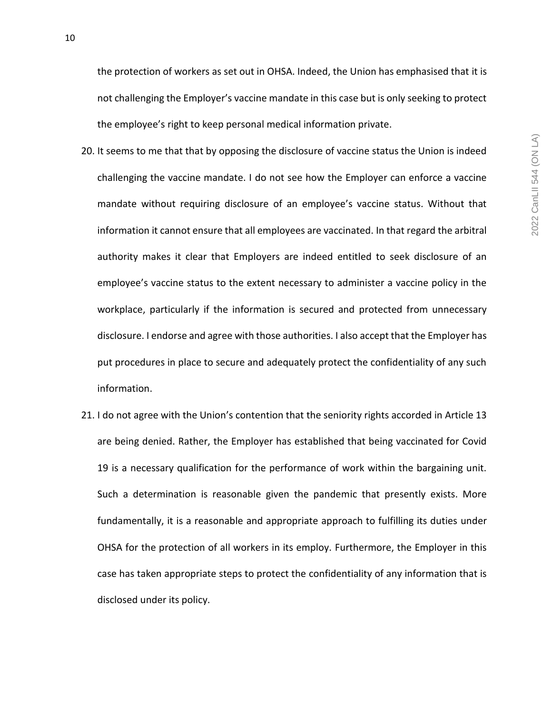10

the protection of workers as set out in OHSA. Indeed, the Union has emphasised that it is not challenging the Employer's vaccine mandate in this case but is only seeking to protect the employee's right to keep personal medical information private.

- 20. It seems to me that that by opposing the disclosure of vaccine status the Union is indeed challenging the vaccine mandate. I do not see how the Employer can enforce a vaccine mandate without requiring disclosure of an employee's vaccine status. Without that information it cannot ensure that all employees are vaccinated. In that regard the arbitral authority makes it clear that Employers are indeed entitled to seek disclosure of an employee's vaccine status to the extent necessary to administer a vaccine policy in the workplace, particularly if the information is secured and protected from unnecessary disclosure. I endorse and agree with those authorities. I also accept that the Employer has put procedures in place to secure and adequately protect the confidentiality of any such information.
- 21. I do not agree with the Union's contention that the seniority rights accorded in Article 13 are being denied. Rather, the Employer has established that being vaccinated for Covid 19 is a necessary qualification for the performance of work within the bargaining unit. Such a determination is reasonable given the pandemic that presently exists. More fundamentally, it is a reasonable and appropriate approach to fulfilling its duties under OHSA for the protection of all workers in its employ. Furthermore, the Employer in this case has taken appropriate steps to protect the confidentiality of any information that is disclosed under its policy.